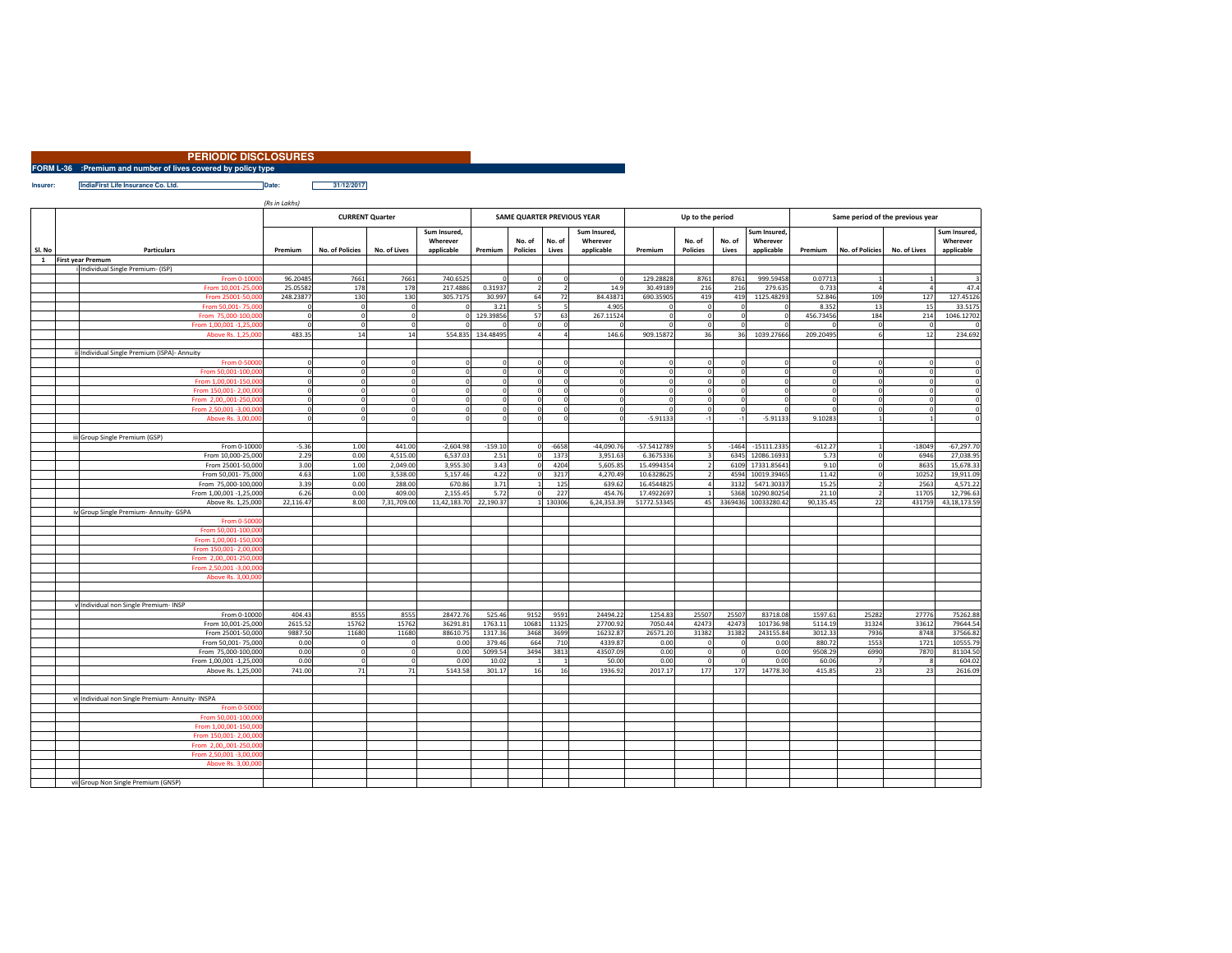| <b>PERIODIC DISCLOSURES</b>                                          |  |
|----------------------------------------------------------------------|--|
| <b>FORM L-36</b> :Premium and number of lives covered by policy type |  |
|                                                                      |  |

**Insurer: IndiaFirst Life Insurance Co. Ltd. Date: Date: 31/12/2017** 

*(Rs in Lakhs)*

|              |                                                              | <b>CURRENT Quarter</b> |                 |              |                          |                   | SAME QUARTER PREVIOUS YEAR |                          |                          |               | Up to the period |              |                          | Same period of the previous year |                        |                |                          |  |
|--------------|--------------------------------------------------------------|------------------------|-----------------|--------------|--------------------------|-------------------|----------------------------|--------------------------|--------------------------|---------------|------------------|--------------|--------------------------|----------------------------------|------------------------|----------------|--------------------------|--|
|              |                                                              |                        |                 |              | Sum Insured,<br>Wherever |                   | No. of                     | No. of                   | Sum Insured,<br>Wherever |               | No. of           | No. of       | Sum Insured,<br>Wherever |                                  |                        |                | Sum Insured,<br>Wherever |  |
| SI. No       | <b>Particulars</b>                                           | Premium                | No. of Policies | No. of Lives | applicable               | Premium           | <b>Policies</b>            | Lives                    | applicable               | Premium       | <b>Policies</b>  | Lives        | applicable               | Premium                          | <b>No. of Policies</b> | No. of Lives   | applicable               |  |
| $\mathbf{1}$ | <b>First year Premum</b><br>Individual Single Premium- (ISP) |                        |                 |              |                          |                   |                            |                          |                          |               |                  |              |                          |                                  |                        |                |                          |  |
|              | From 0-1000                                                  | 96.20485               | 7661            | 7661         | 740.6525                 | $\Omega$          | $\mathbf 0$                |                          | $\mathbf{0}$             | 129.28828     | 8761             | 8761         | 999.59458                | 0.07713                          |                        |                |                          |  |
|              | From 10,001-25,00                                            | 25.05582               | 178             | 178          | 217.4886                 | 0.31937           | $\overline{2}$             | $\overline{\phantom{a}}$ | 14.9                     | 30.49189      | 216              | 216          | 279.635                  | 0.733                            |                        | $\overline{1}$ | 47.4                     |  |
|              | From 25001-50.00                                             | 248.23877              | 130             | 130          | 305.7175                 | 30.997            | 64                         | 72                       | 84.43871                 | 690.35905     | 419              | 419          | 1125.48293               | 52.846                           | 109                    | 127            | 127.45126                |  |
|              | From 50,001-75,00                                            | $\mathbf 0$            | $\circ$         | $\mathbf 0$  |                          | 3.21              | 5                          |                          | 4.905                    | $\Omega$      |                  |              |                          | 8.352                            | 13                     | 15             | 33.5175                  |  |
|              | From 75,000-100.00                                           | $\mathbf{0}$           | $\circ$         | $\mathbf 0$  | $\Omega$                 | 129.39856         | 57                         | 63                       | 267.11524                | $\Omega$      | $\Omega$         | $\Omega$     |                          | 456.73456                        | 184                    | 214            | 1046.12702               |  |
|              | From 1,00,001 -1,25,00                                       | $\Omega$               | $\circ$         | $\mathbf 0$  |                          |                   | $\mathbf 0$                | $\Omega$                 | $\Omega$                 | $\Omega$      | $\Omega$         | $\Omega$     |                          |                                  |                        | $\epsilon$     |                          |  |
|              |                                                              | 483.35                 | 14              | 14           |                          | 554.835 134.48495 | $\overline{4}$             |                          | 146.6                    | 909.15872     | 36               | 36           | 1039.27666               | 209.20495                        |                        | 12             | 234.692                  |  |
|              | Above Rs. 1,25,00                                            |                        |                 |              |                          |                   |                            |                          |                          |               |                  |              |                          |                                  |                        |                |                          |  |
|              | ii Individual Single Premium (ISPA)- Annuity                 |                        |                 |              |                          |                   |                            |                          |                          |               |                  |              |                          |                                  |                        |                |                          |  |
|              | From 0-5000                                                  | $\mathbf 0$            | $^{\circ}$      | $\mathbf 0$  | $\mathbf 0$              | $\mathbf 0$       | $\mathbf 0$                |                          | $\mathbf 0$              | $\Omega$      |                  |              |                          |                                  |                        |                |                          |  |
|              | From 50,001-100,00                                           | $\mathbf 0$            | $\mathbf{0}$    | $\Omega$     | $\Omega$                 | $\circ$           | $\mathbf 0$                | $\Omega$                 | $\circ$                  | $\Omega$      |                  | $\Omega$     |                          |                                  |                        | $\Omega$       | $\Omega$                 |  |
|              |                                                              |                        | $\Omega$        | $\Omega$     |                          |                   |                            | $\Omega$                 |                          | $\Omega$      |                  |              |                          |                                  |                        |                |                          |  |
|              | From 1,00,001-150,00                                         | $\circ$                |                 |              | $\Omega$                 | $\Omega$          | $\mathbf 0$                |                          | $\mathbf 0$              |               |                  |              |                          |                                  |                        | £              | $^{\circ}$               |  |
|              | From 150,001-2,00,00                                         | $\circ$                | $\circ$         | $\mathbf 0$  | $\mathbf{0}$             | $\Omega$          | $\mathbf 0$                | $\Omega$                 | $\mathbf{0}$             | $\circ$       | $\Omega$         | $\Omega$     |                          |                                  |                        | $\Omega$       | $\Omega$                 |  |
|              | From 2.00001-250.00                                          | $\circ$                | $\mathbf{0}$    | $\mathbf 0$  | $\Omega$                 | $\mathbf{0}$      | $\mathbf{0}$               | $\Omega$                 | $\mathbf{0}$             | $\Omega$      |                  | $\Omega$     |                          |                                  |                        | £              | $\Omega$                 |  |
|              | From 2,50,001 -3,00,00                                       | $\mathbf{0}$           | $\Omega$        | $\Omega$     | $\Omega$                 | $\circ$           | $\mathbf 0$                | $\Omega$                 | $\mathbf{0}$             | $\Omega$      |                  | $\Omega$     |                          |                                  |                        | $\epsilon$     | $\Omega$                 |  |
|              | Above Rs. 3,00,00                                            | $\mathbf 0$            | $\Omega$        | $\Omega$     | $\Omega$                 | $\Omega$          | $\mathbf 0$                | $\Omega$                 | $\Omega$                 | $-5.91133$    |                  | $\mathbf{A}$ | $-5.91133$               | 9.10283                          |                        |                | $\Omega$                 |  |
|              |                                                              |                        |                 |              |                          |                   |                            |                          |                          |               |                  |              |                          |                                  |                        |                |                          |  |
|              | iii Group Single Premium (GSP)                               |                        |                 |              |                          |                   |                            |                          |                          |               |                  |              |                          |                                  |                        |                |                          |  |
|              | From 0-10000                                                 | $-5.36$                | 1.00            | 441.00       | $-2.604.98$              | $-159.10$         | $\mathbf{0}$               | $-6658$                  | $-44.090.76$             | $-57.5412789$ |                  | $-1464$      | $-15111.2335$            | $-612.27$                        |                        | $-18049$       | $-67,297.7$              |  |
|              | From 10,000-25,000                                           | 2.29                   | 0.00            | 4,515.00     | 6,537.03                 | 2.51              | $\mathbf{0}$               | 1373                     | 3,951.63                 | 6.3675336     |                  | 6345         | 12086.16931              | 5.73                             |                        | 6946           | 27,038.9                 |  |
|              | From 25001-50,000                                            | 3.00                   | 1.00            | 2,049.00     | 3,955.30                 | 3.43              | $\mathbf 0$                | 4204                     | 5,605.85                 | 15.4994354    |                  | 6109         | 17331.85641              | 9.10                             |                        | 8635           | 15,678.33                |  |
|              | From 50,001-75,000                                           | 4.63                   | 1.00            | 3,538.00     | 5,157.46                 | 4.22              | $\mathbf 0$                | 3217                     | 4,270.49                 | 10.6328625    |                  | 4594         | 10019.39465              | 11.42                            |                        | 10252          | 19,911.09                |  |
|              | From 75,000-100,000                                          | 3.39                   | 0.00            | 288.00       | 670.86                   | 3.71              | $\mathbf{1}$               | 125                      | 639.62                   | 16.4544825    |                  | 3132         | 5471.3033                | 15.25                            |                        | 2563           | 4,571.22                 |  |
|              | From 1,00,001 -1,25,000                                      | 6.26                   | 0.00            | 409.00       | 2.155.45                 | 5.72              | $\mathbf 0$                | 227                      | 454.76                   | 17.4922697    |                  | 5368         | 10290.80254              | 21.10                            |                        | 11705          | 12.796.63                |  |
|              | Above Rs. 1,25,000                                           | 22,116.47              | 8.00            | 7,31,709.00  | 11,42,183.70             | 22,190.37         |                            | 1 130306                 | 6,24,353.39              | 51772.53345   | 45               | 3369436      | 10033280.42              | 90,135.45                        | 22                     | 431759         | 43,18,173.59             |  |
|              | iv Group Single Premium- Annuity- GSPA                       |                        |                 |              |                          |                   |                            |                          |                          |               |                  |              |                          |                                  |                        |                |                          |  |
|              | From 0-5000                                                  |                        |                 |              |                          |                   |                            |                          |                          |               |                  |              |                          |                                  |                        |                |                          |  |
|              | From 50.001-100.00                                           |                        |                 |              |                          |                   |                            |                          |                          |               |                  |              |                          |                                  |                        |                |                          |  |
|              | From 1.00.001-150.00                                         |                        |                 |              |                          |                   |                            |                          |                          |               |                  |              |                          |                                  |                        |                |                          |  |
|              | From 150,001-2,00.00                                         |                        |                 |              |                          |                   |                            |                          |                          |               |                  |              |                          |                                  |                        |                |                          |  |
|              | From 2,00,,001-250,00                                        |                        |                 |              |                          |                   |                            |                          |                          |               |                  |              |                          |                                  |                        |                |                          |  |
|              | From 2,50,001 -3,00,00                                       |                        |                 |              |                          |                   |                            |                          |                          |               |                  |              |                          |                                  |                        |                |                          |  |
|              | Above Rs. 3,00,00                                            |                        |                 |              |                          |                   |                            |                          |                          |               |                  |              |                          |                                  |                        |                |                          |  |
|              |                                                              |                        |                 |              |                          |                   |                            |                          |                          |               |                  |              |                          |                                  |                        |                |                          |  |
|              |                                                              |                        |                 |              |                          |                   |                            |                          |                          |               |                  |              |                          |                                  |                        |                |                          |  |
|              | v Individual non Single Premium- INSP                        |                        |                 |              |                          |                   |                            |                          |                          |               |                  |              |                          |                                  |                        |                |                          |  |
|              | From 0-10000                                                 | 404.43                 | 8555            | 8555         | 28472.76                 | 525.46            | 9152                       | 9591                     | 24494.22                 | 1254.83       | 25507            | 25507        | 83718.08                 | 1597.61                          | 25282                  | 27776          | 75262.88                 |  |
|              | From 10,001-25,000                                           | 2615.52                | 15762           | 15762        | 36291.81                 | 1763.11           | 10681                      | 11325                    | 27700.92                 | 7050.44       | 42473            | 42473        | 101736.98                | 5114.19                          | 31324                  | 33612          | 79644.54                 |  |
|              | From 25001-50,000                                            | 9887.50                | 11680           | 11680        | 88610.75                 | 1317.36           | 3468                       | 3699                     | 16232.87                 | 26571.20      | 31382            | 31382        | 243155.84                | 3012.33                          | 7936                   | 8748           | 37566.82                 |  |
|              | From 50,001-75,000                                           | 0.00                   | $\Omega$        | $\mathbf 0$  | 0.00                     | 379.46            | 664                        | 710                      | 4339.87                  | 0.00          |                  | -C           | 0.00                     | 880.72                           | 1553                   | 1721           | 10555.7                  |  |
|              | From 75,000-100,000                                          | 0.00                   | $\mathbf 0$     | $\mathbf 0$  | 0.00                     | 5099.54           | 3494                       | 3813                     | 43507.09                 | 0.00          |                  | $\Omega$     | 0.00                     | 9508.29                          | 6990                   | 7870           | 81104.50                 |  |
|              | From 1,00,001 -1,25,000                                      | 0.00                   | $\mathbf 0$     | $\mathbf 0$  | 0.00                     | 10.02             |                            |                          | 50.00                    | 0.00          |                  | $\Omega$     | 0.00                     | 60.06                            |                        |                | 604.02                   |  |
|              | Above Rs. 1,25,000                                           | 741.00                 | 71              | 71           | 5143.58                  | 301.17            | 16                         | 16                       | 1936.92                  | 2017.17       | 177              | 177          | 14778.30                 | 415.85                           | 23                     | 23             | 2616.09                  |  |
|              |                                                              |                        |                 |              |                          |                   |                            |                          |                          |               |                  |              |                          |                                  |                        |                |                          |  |
|              |                                                              |                        |                 |              |                          |                   |                            |                          |                          |               |                  |              |                          |                                  |                        |                |                          |  |
|              | vi Individual non Single Premium- Annuity- INSPA             |                        |                 |              |                          |                   |                            |                          |                          |               |                  |              |                          |                                  |                        |                |                          |  |
|              | From 0-5000                                                  |                        |                 |              |                          |                   |                            |                          |                          |               |                  |              |                          |                                  |                        |                |                          |  |
|              | From 50,001-100,00                                           |                        |                 |              |                          |                   |                            |                          |                          |               |                  |              |                          |                                  |                        |                |                          |  |
|              | From 1,00,001-150,00                                         |                        |                 |              |                          |                   |                            |                          |                          |               |                  |              |                          |                                  |                        |                |                          |  |
|              | From 150,001-2,00,00                                         |                        |                 |              |                          |                   |                            |                          |                          |               |                  |              |                          |                                  |                        |                |                          |  |
|              | From 2,00,,001-250,00                                        |                        |                 |              |                          |                   |                            |                          |                          |               |                  |              |                          |                                  |                        |                |                          |  |
|              | From 2,50,001 -3,00,00                                       |                        |                 |              |                          |                   |                            |                          |                          |               |                  |              |                          |                                  |                        |                |                          |  |
|              | Above Rs. 3,00,00                                            |                        |                 |              |                          |                   |                            |                          |                          |               |                  |              |                          |                                  |                        |                |                          |  |
|              |                                                              |                        |                 |              |                          |                   |                            |                          |                          |               |                  |              |                          |                                  |                        |                |                          |  |
|              | vii Group Non Single Premium (GNSP)                          |                        |                 |              |                          |                   |                            |                          |                          |               |                  |              |                          |                                  |                        |                |                          |  |
|              |                                                              |                        |                 |              |                          |                   |                            |                          |                          |               |                  |              |                          |                                  |                        |                |                          |  |